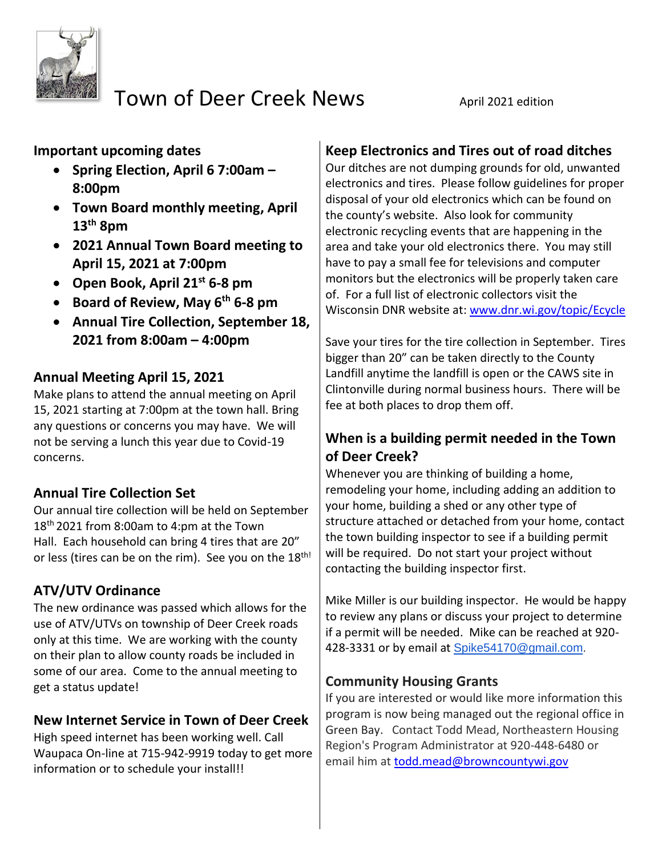

# Town of Deer Creek News April 2021 edition

**Important upcoming dates** 

- **Spring Election, April 6 7:00am – 8:00pm**
- **Town Board monthly meeting, April 13th 8pm**
- **2021 Annual Town Board meeting to April 15, 2021 at 7:00pm**
- **Open Book, April 21st 6-8 pm**
- **Board of Review, May 6th 6-8 pm**
- **Annual Tire Collection, September 18, 2021 from 8:00am – 4:00pm**

## **Annual Meeting April 15, 2021**

Make plans to attend the annual meeting on April 15, 2021 starting at 7:00pm at the town hall. Bring any questions or concerns you may have. We will not be serving a lunch this year due to Covid-19 concerns.

# **Annual Tire Collection Set**

Our annual tire collection will be held on September 18 th 2021 from 8:00am to 4:pm at the Town Hall. Each household can bring 4 tires that are 20" or less (tires can be on the rim). See you on the 18<sup>th!</sup>

# **ATV/UTV Ordinance**

The new ordinance was passed which allows for the use of ATV/UTVs on township of Deer Creek roads only at this time. We are working with the county on their plan to allow county roads be included in some of our area. Come to the annual meeting to get a status update!

# **New Internet Service in Town of Deer Creek**

High speed internet has been working well. Call Waupaca On-line at 715-942-9919 today to get more information or to schedule your install!!

# **Keep Electronics and Tires out of road ditches**

Our ditches are not dumping grounds for old, unwanted electronics and tires. Please follow guidelines for proper disposal of your old electronics which can be found on the county's website. Also look for community electronic recycling events that are happening in the area and take your old electronics there. You may still have to pay a small fee for televisions and computer monitors but the electronics will be properly taken care of. For a full list of electronic collectors visit the Wisconsin DNR website at: [www.dnr.wi.gov/topic/Ecycle](http://www.dnr.wi.gov/topic/Ecycle/)

Save your tires for the tire collection in September. Tires bigger than 20" can be taken directly to the County Landfill anytime the landfill is open or the CAWS site in Clintonville during normal business hours. There will be fee at both places to drop them off.

### **When is a building permit needed in the Town of Deer Creek?**

Whenever you are thinking of building a home, remodeling your home, including adding an addition to your home, building a shed or any other type of structure attached or detached from your home, contact the town building inspector to see if a building permit will be required. Do not start your project without contacting the building inspector first.

Mike Miller is our building inspector. He would be happy to review any plans or discuss your project to determine if a permit will be needed. Mike can be reached at 920- 428-3331 or by email at [Spike54170@gmail.com.](mailto:Spike54170@gmail.com)

### **Community Housing Grants**

If you are interested or would like more information this program is now being managed out the regional office in Green Bay. Contact Todd Mead, Northeastern Housing Region's Program Administrator at 920-448-6480 or email him at [todd.mead@browncountywi.gov](mailto:todd.mead@browncountywi.gov)